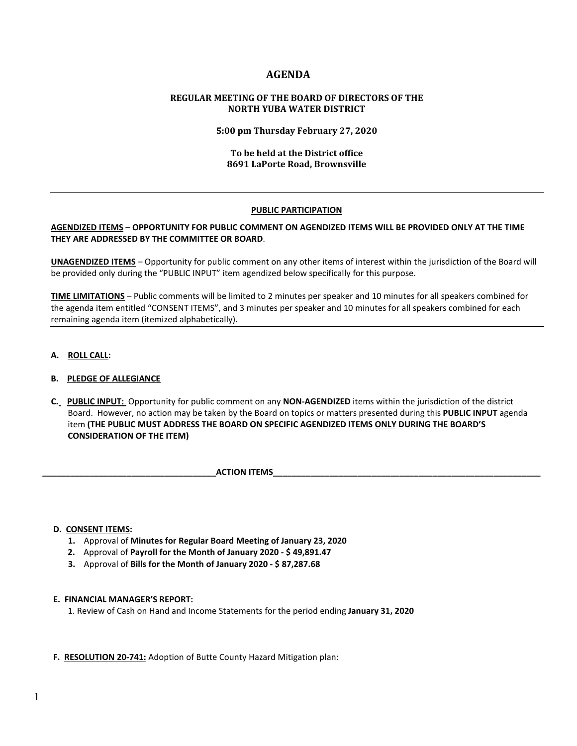# **AGENDA**

### **REGULAR MEETING OF THE BOARD OF DIRECTORS OF THE NORTH YUBA WATER DISTRICT**

**5:00 pm Thursday February 27, 2020**

### **To be held at the District office 8691 LaPorte Road, Brownsville**

### **PUBLIC PARTICIPATION**

### **AGENDIZED ITEMS** – **OPPORTUNITY FOR PUBLIC COMMENT ON AGENDIZED ITEMS WILL BE PROVIDED ONLY AT THE TIME THEY ARE ADDRESSED BY THE COMMITTEE OR BOARD**.

**UNAGENDIZED ITEMS** – Opportunity for public comment on any other items of interest within the jurisdiction of the Board will be provided only during the "PUBLIC INPUT" item agendized below specifically for this purpose.

**TIME LIMITATIONS** – Public comments will be limited to 2 minutes per speaker and 10 minutes for all speakers combined for the agenda item entitled "CONSENT ITEMS", and 3 minutes per speaker and 10 minutes for all speakers combined for each remaining agenda item (itemized alphabetically).

**A. ROLL CALL:** 

### **B. PLEDGE OF ALLEGIANCE**

 **C. PUBLIC INPUT:** Opportunity for public comment on any **NON-AGENDIZED** items within the jurisdiction of the district Board. However, no action may be taken by the Board on topics or matters presented during this **PUBLIC INPUT** agenda item **(THE PUBLIC MUST ADDRESS THE BOARD ON SPECIFIC AGENDIZED ITEMS ONLY DURING THE BOARD'S CONSIDERATION OF THE ITEM)**

**ACTION ITEMS** 

#### **D. CONSENT ITEMS:**

- **1.** Approval of **Minutes for Regular Board Meeting of January 23, 2020**
- **2.** Approval of **Payroll for the Month of January 2020 - \$ 49,891.47**
- **3.** Approval of **Bills for the Month of January 2020 - \$ 87,287.68**

#### **E. FINANCIAL MANAGER'S REPORT:**

1. Review of Cash on Hand and Income Statements for the period ending **January 31, 2020**

#### **F. RESOLUTION 20-741:** Adoption of Butte County Hazard Mitigation plan: